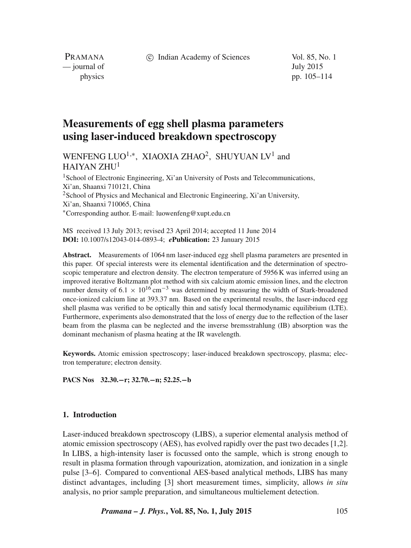c Indian Academy of Sciences Vol. 85, No. 1

PRAMANA — journal of July 2015

physics pp. 105–114

# **Measurements of egg shell plasma parameters using laser-induced breakdown spectroscopy**

WENFENG LUO<sup>1,∗</sup>, XIAOXIA ZHAO<sup>2</sup>, SHUYUAN LV<sup>1</sup> and HAIYAN ZHU<sup>1</sup>

<sup>1</sup> School of Electronic Engineering, Xi'an University of Posts and Telecommunications, Xi'an, Shaanxi 710121, China <sup>2</sup>School of Physics and Mechanical and Electronic Engineering, Xi'an University, Xi'an, Shaanxi 710065, China <sup>∗</sup>Corresponding author. E-mail: luowenfeng@xupt.edu.cn

MS received 13 July 2013; revised 23 April 2014; accepted 11 June 2014 **DOI:** 10.1007/s12043-014-0893-4; *e***Publication:** 23 January 2015

**Abstract.** Measurements of 1064 nm laser-induced egg shell plasma parameters are presented in this paper. Of special interests were its elemental identification and the determination of spectroscopic temperature and electron density. The electron temperature of 5956 K was inferred using an improved iterative Boltzmann plot method with six calcium atomic emission lines, and the electron number density of 6.1  $\times$  10<sup>16</sup> cm<sup>-3</sup> was determined by measuring the width of Stark-broadened once-ionized calcium line at 393.37 nm. Based on the experimental results, the laser-induced egg shell plasma was verified to be optically thin and satisfy local thermodynamic equilibrium (LTE). Furthermore, experiments also demonstrated that the loss of energy due to the reflection of the laser beam from the plasma can be neglected and the inverse bremsstrahlung (IB) absorption was the dominant mechanism of plasma heating at the IR wavelength.

**Keywords.** Atomic emission spectroscopy; laser-induced breakdown spectroscopy, plasma; electron temperature; electron density.

**PACS Nos 32.30.**−**r; 32.70.**−**n; 52.25.**−**b**

#### **1. Introduction**

Laser-induced breakdown spectroscopy (LIBS), a superior elemental analysis method of atomic emission spectroscopy (AES), has evolved rapidly over the past two decades [1,2]. In LIBS, a high-intensity laser is focussed onto the sample, which is strong enough to result in plasma formation through vapourization, atomization, and ionization in a single pulse [3–6]. Compared to conventional AES-based analytical methods, LIBS has many distinct advantages, including [3] short measurement times, simplicity, allows *in situ* analysis, no prior sample preparation, and simultaneous multielement detection.

*Pramana – J. Phys.***, Vol. 85, No. 1, July 2015** 105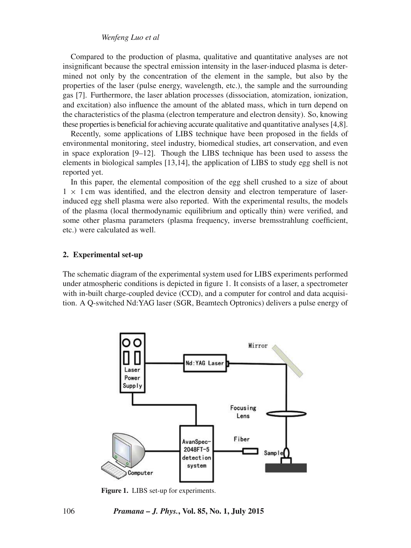## *Wenfeng Luo et al*

Compared to the production of plasma, qualitative and quantitative analyses are not insignificant because the spectral emission intensity in the laser-induced plasma is determined not only by the concentration of the element in the sample, but also by the properties of the laser (pulse energy, wavelength, etc.), the sample and the surrounding gas [7]. Furthermore, the laser ablation processes (dissociation, atomization, ionization, and excitation) also influence the amount of the ablated mass, which in turn depend on the characteristics of the plasma (electron temperature and electron density). So, knowing these properties is beneficial for achieving accurate qualitative and quantitative analyses [4,8].

Recently, some applications of LIBS technique have been proposed in the fields of environmental monitoring, steel industry, biomedical studies, art conservation, and even in space exploration [9–12]. Though the LIBS technique has been used to assess the elements in biological samples [13,14], the application of LIBS to study egg shell is not reported yet.

In this paper, the elemental composition of the egg shell crushed to a size of about  $1 \times 1$  cm was identified, and the electron density and electron temperature of laserinduced egg shell plasma were also reported. With the experimental results, the models of the plasma (local thermodynamic equilibrium and optically thin) were verified, and some other plasma parameters (plasma frequency, inverse bremsstrahlung coefficient, etc.) were calculated as well.

#### **2. Experimental set-up**

The schematic diagram of the experimental system used for LIBS experiments performed under atmospheric conditions is depicted in figure 1. It consists of a laser, a spectrometer with in-built charge-coupled device (CCD), and a computer for control and data acquisition. A Q-switched Nd:YAG laser (SGR, Beamtech Optronics) delivers a pulse energy of



**Figure 1.** LIBS set-up for experiments.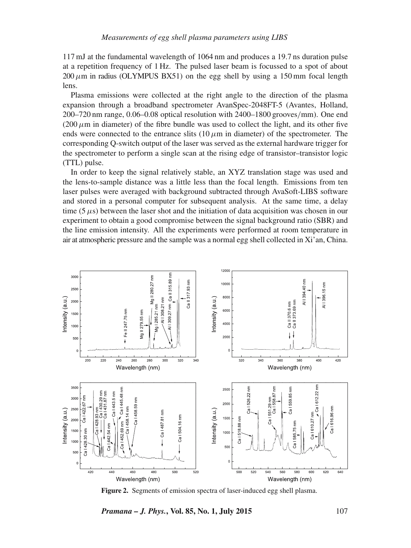117 mJ at the fundamental wavelength of 1064 nm and produces a 19.7 ns duration pulse at a repetition frequency of 1 Hz. The pulsed laser beam is focussed to a spot of about  $200 \mu$ m in radius (OLYMPUS BX51) on the egg shell by using a 150 mm focal length lens.

Plasma emissions were collected at the right angle to the direction of the plasma expansion through a broadband spectrometer AvanSpec-2048FT-5 (Avantes, Holland, 200–720 nm range, 0.06–0.08 optical resolution with 2400–1800 grooves/mm). One end (200  $\mu$ m in diameter) of the fibre bundle was used to collect the light, and its other five ends were connected to the entrance slits  $(10 \mu m)$  in diameter) of the spectrometer. The corresponding Q-switch output of the laser was served as the external hardware trigger for the spectrometer to perform a single scan at the rising edge of transistor–transistor logic (TTL) pulse.

In order to keep the signal relatively stable, an XYZ translation stage was used and the lens-to-sample distance was a little less than the focal length. Emissions from ten laser pulses were averaged with background subtracted through AvaSoft-LIBS software and stored in a personal computer for subsequent analysis. At the same time, a delay time  $(5 \mu s)$  between the laser shot and the initiation of data acquisition was chosen in our experiment to obtain a good compromise between the signal background ratio (SBR) and the line emission intensity. All the experiments were performed at room temperature in air at atmospheric pressure and the sample was a normal egg shell collected in Xi'an, China.



**Figure 2.** Segments of emission spectra of laser-induced egg shell plasma.

*Pramana – J. Phys.*, Vol. 85, No. 1, July 2015 107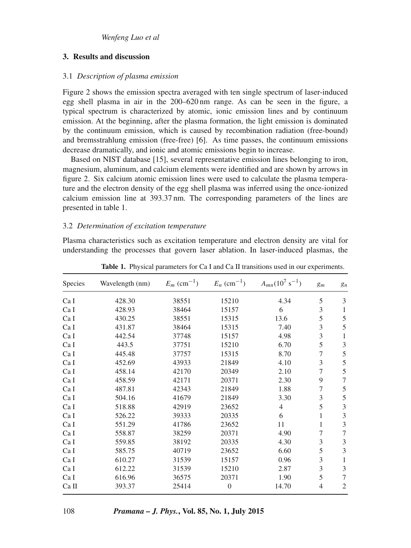## **3. Results and discussion**

## 3.1 *Description of plasma emission*

Figure 2 shows the emission spectra averaged with ten single spectrum of laser-induced egg shell plasma in air in the 200–620 nm range. As can be seen in the figure, a typical spectrum is characterized by atomic, ionic emission lines and by continuum emission. At the beginning, after the plasma formation, the light emission is dominated by the continuum emission, which is caused by recombination radiation (free-bound) and bremsstrahlung emission (free-free) [6]. As time passes, the continuum emissions decrease dramatically, and ionic and atomic emissions begin to increase.

Based on NIST database [15], several representative emission lines belonging to iron, magnesium, aluminum, and calcium elements were identified and are shown by arrows in figure 2. Six calcium atomic emission lines were used to calculate the plasma temperature and the electron density of the egg shell plasma was inferred using the once-ionized calcium emission line at 393.37 nm. The corresponding parameters of the lines are presented in table 1.

## 3.2 *Determination of excitation temperature*

Plasma characteristics such as excitation temperature and electron density are vital for understanding the processes that govern laser ablation. In laser-induced plasmas, the

| <b>Species</b> | Wavelength (nm) | $E_m$ (cm <sup>-1</sup> ) | $E_n$ (cm <sup>-1</sup> ) | $A_{mn}(10^7 \text{ s}^{-1})$ | $g_m$          | $g_n$          |
|----------------|-----------------|---------------------------|---------------------------|-------------------------------|----------------|----------------|
| Ca I           | 428.30          | 38551                     | 15210                     | 4.34                          | 5              | 3              |
| Ca I           | 428.93          | 38464                     | 15157                     | 6                             | 3              | 1              |
| Ca I           | 430.25          | 38551                     | 15315                     | 13.6                          | 5              | 5              |
| Ca I           | 431.87          | 38464                     | 15315                     | 7.40                          | 3              | 5              |
| Ca I           | 442.54          | 37748                     | 15157                     | 4.98                          | 3              | 1              |
| Ca I           | 443.5           | 37751                     | 15210                     | 6.70                          | 5              | 3              |
| Ca I           | 445.48          | 37757                     | 15315                     | 8.70                          | $\overline{7}$ | 5              |
| Ca I           | 452.69          | 43933                     | 21849                     | 4.10                          | 3              | 5              |
| Ca I           | 458.14          | 42170                     | 20349                     | 2.10                          | 7              | 5              |
| Ca I           | 458.59          | 42171                     | 20371                     | 2.30                          | 9              | 7              |
| Ca I           | 487.81          | 42343                     | 21849                     | 1.88                          | $\overline{7}$ | 5              |
| Ca I           | 504.16          | 41679                     | 21849                     | 3.30                          | 3              | 5              |
| Ca I           | 518.88          | 42919                     | 23652                     | $\overline{4}$                | 5              | 3              |
| Ca I           | 526.22          | 39333                     | 20335                     | 6                             | 1              | 3              |
| Ca I           | 551.29          | 41786                     | 23652                     | 11                            | 1              | 3              |
| Ca I           | 558.87          | 38259                     | 20371                     | 4.90                          | 7              | 7              |
| Ca I           | 559.85          | 38192                     | 20335                     | 4.30                          | 3              | 3              |
| Ca I           | 585.75          | 40719                     | 23652                     | 6.60                          | 5              | $\mathfrak{Z}$ |
| Ca I           | 610.27          | 31539                     | 15157                     | 0.96                          | 3              | 1              |
| Ca I           | 612.22          | 31539                     | 15210                     | 2.87                          | 3              | 3              |
| Ca I           | 616.96          | 36575                     | 20371                     | 1.90                          | 5              | $\overline{7}$ |
| Ca II          | 393.37          | 25414                     | $\overline{0}$            | 14.70                         | 4              | $\mathfrak{2}$ |

**Table 1.** Physical parameters for Ca I and Ca II transitions used in our experiments.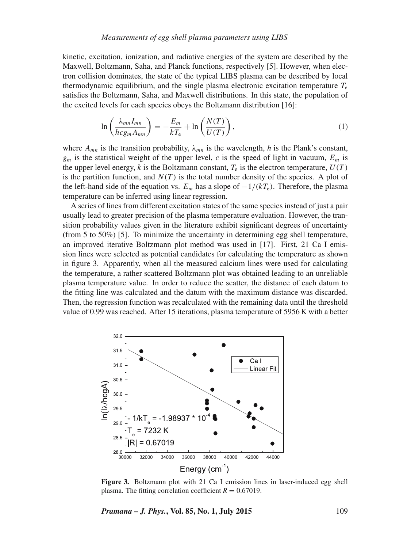## *Measurements of egg shell plasma parameters using LIBS*

kinetic, excitation, ionization, and radiative energies of the system are described by the Maxwell, Boltzmann, Saha, and Planck functions, respectively [5]. However, when electron collision dominates, the state of the typical LIBS plasma can be described by local thermodynamic equilibrium, and the single plasma electronic excitation temperature  $T_e$ satisfies the Boltzmann, Saha, and Maxwell distributions. In this state, the population of the excited levels for each species obeys the Boltzmann distribution [16]:

$$
\ln\left(\frac{\lambda_{mn}I_{mn}}{hc g_m A_{mn}}\right) = -\frac{E_m}{kT_e} + \ln\left(\frac{N(T)}{U(T)}\right),\tag{1}
$$

where  $A_{mn}$  is the transition probability,  $\lambda_{mn}$  is the wavelength, *h* is the Plank's constant,  $g_m$  is the statistical weight of the upper level, *c* is the speed of light in vacuum,  $E_m$  is the upper level energy,  $k$  is the Boltzmann constant,  $T_e$  is the electron temperature,  $U(T)$ is the partition function, and  $N(T)$  is the total number density of the species. A plot of the left-hand side of the equation vs.  $E_m$  has a slope of  $-1/(kT_e)$ . Therefore, the plasma temperature can be inferred using linear regression.

A series of lines from different excitation states of the same species instead of just a pair usually lead to greater precision of the plasma temperature evaluation. However, the transition probability values given in the literature exhibit significant degrees of uncertainty (from 5 to 50%) [5]. To minimize the uncertainty in determining egg shell temperature, an improved iterative Boltzmann plot method was used in [17]. First, 21 Ca I emission lines were selected as potential candidates for calculating the temperature as shown in figure 3. Apparently, when all the measured calcium lines were used for calculating the temperature, a rather scattered Boltzmann plot was obtained leading to an unreliable plasma temperature value. In order to reduce the scatter, the distance of each datum to the fitting line was calculated and the datum with the maximum distance was discarded. Then, the regression function was recalculated with the remaining data until the threshold value of 0.99 was reached. After 15 iterations, plasma temperature of 5956 K with a better



**Figure 3.** Boltzmann plot with 21 Ca I emission lines in laser-induced egg shell plasma. The fitting correlation coefficient  $R = 0.67019$ .

*Pramana – J. Phys.***, Vol. 85, No. 1, July 2015** 109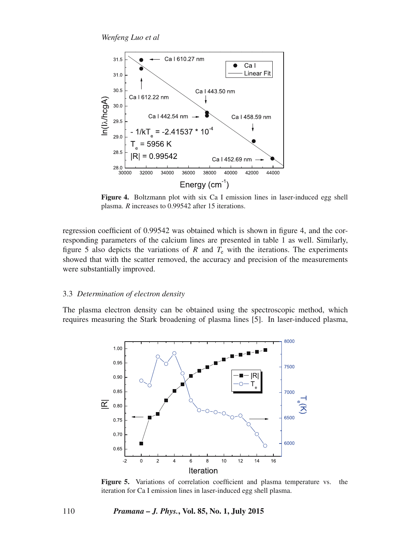*Wenfeng Luo et al*



**Figure 4.** Boltzmann plot with six Ca I emission lines in laser-induced egg shell plasma. *R* increases to 0.99542 after 15 iterations.

regression coefficient of 0.99542 was obtained which is shown in figure 4, and the corresponding parameters of the calcium lines are presented in table 1 as well. Similarly, figure 5 also depicts the variations of R and  $T<sub>e</sub>$  with the iterations. The experiments showed that with the scatter removed, the accuracy and precision of the measurements were substantially improved.

## 3.3 *Determination of electron density*

The plasma electron density can be obtained using the spectroscopic method, which requires measuring the Stark broadening of plasma lines [5]. In laser-induced plasma,



**Figure 5.** Variations of correlation coefficient and plasma temperature vs. the iteration for Ca I emission lines in laser-induced egg shell plasma.

#### 110 *Pramana – J. Phys.***, Vol. 85, No. 1, July 2015**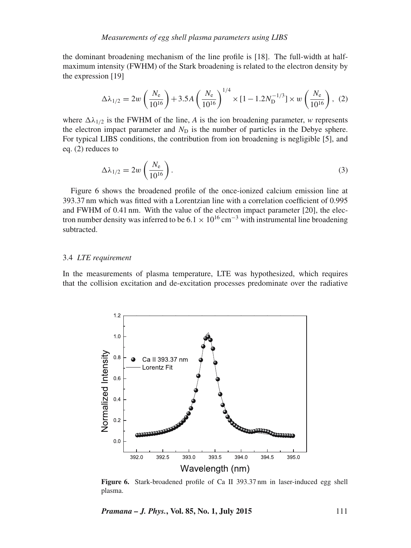the dominant broadening mechanism of the line profile is [18]. The full-width at halfmaximum intensity (FWHM) of the Stark broadening is related to the electron density by the expression [19]

$$
\Delta\lambda_{1/2} = 2w \left(\frac{N_e}{10^{16}}\right) + 3.5A \left(\frac{N_e}{10^{16}}\right)^{1/4} \times [1 - 1.2N_{\text{D}}^{-1/3}] \times w \left(\frac{N_e}{10^{16}}\right), (2)
$$

where  $\Delta\lambda_{1/2}$  is the FWHM of the line, *A* is the ion broadening parameter, *w* represents the electron impact parameter and  $N<sub>D</sub>$  is the number of particles in the Debye sphere. For typical LIBS conditions, the contribution from ion broadening is negligible [5], and eq. (2) reduces to

$$
\Delta\lambda_{1/2} = 2w \left(\frac{N_e}{10^{16}}\right). \tag{3}
$$

Figure 6 shows the broadened profile of the once-ionized calcium emission line at 393.37 nm which was fitted with a Lorentzian line with a correlation coefficient of 0.995 and FWHM of 0.41 nm. With the value of the electron impact parameter [20], the electron number density was inferred to be  $6.1 \times 10^{16}$  cm<sup>-3</sup> with instrumental line broadening subtracted.

#### 3.4 *LTE requirement*

In the measurements of plasma temperature, LTE was hypothesized, which requires that the collision excitation and de-excitation processes predominate over the radiative



**Figure 6.** Stark-broadened profile of Ca II 393.37 nm in laser-induced egg shell plasma.

*Pramana – J. Phys.***, Vol. 85, No. 1, July 2015** 111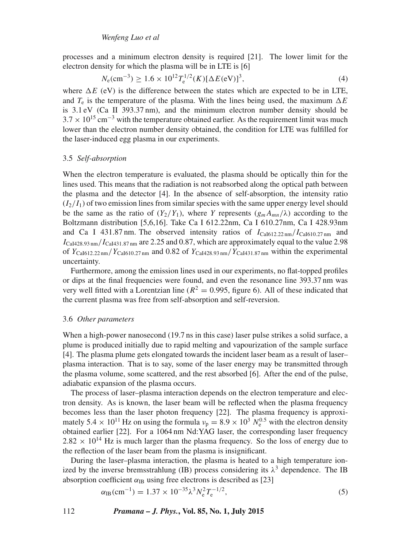processes and a minimum electron density is required [21]. The lower limit for the electron density for which the plasma will be in LTE is [6]

$$
N_e(\text{cm}^{-3}) \ge 1.6 \times 10^{12} T_e^{1/2}(K) [\Delta E(\text{eV})]^3, \tag{4}
$$

where  $\Delta E$  (eV) is the difference between the states which are expected to be in LTE, and  $T_e$  is the temperature of the plasma. With the lines being used, the maximum  $\Delta E$ is 3.1 eV (Ca II 393.37 nm), and the minimum electron number density should be  $3.7 \times 10^{15}$  cm<sup>-3</sup> with the temperature obtained earlier. As the requirement limit was much lower than the electron number density obtained, the condition for LTE was fulfilled for the laser-induced egg plasma in our experiments.

#### 3.5 *Self-absorption*

When the electron temperature is evaluated, the plasma should be optically thin for the lines used. This means that the radiation is not reabsorbed along the optical path between the plasma and the detector [4]. In the absence of self-absorption, the intensity ratio  $(I_2/I_1)$  of two emission lines from similar species with the same upper energy level should be the same as the ratio of  $(Y_2/Y_1)$ , where *Y* represents  $(g_mA_{mn}/\lambda)$  according to the Boltzmann distribution [5,6,16]. Take Ca I 612.22nm, Ca I 610.27nm, Ca I 428.93nm and Ca I 431.87 nm. The observed intensity ratios of  $I_{\text{Cal612.22 nm}}/I_{\text{Cal610.27 nm}}$  and  $I_{\text{Cal428.93 nm}}/I_{\text{Cal431.87 nm}}$  are 2.25 and 0.87, which are approximately equal to the value 2.98 of  $Y_{\text{Cal612.22 nm}}/Y_{\text{Cal610.27 nm}}$  and 0.82 of  $Y_{\text{Cal428.93 nm}}/Y_{\text{Cal431.87 nm}}$  within the experimental uncertainty.

Furthermore, among the emission lines used in our experiments, no flat-topped profiles or dips at the final frequencies were found, and even the resonance line 393.37 nm was very well fitted with a Lorentzian line ( $R^2 = 0.995$ , figure 6). All of these indicated that the current plasma was free from self-absorption and self-reversion.

#### 3.6 *Other parameters*

When a high-power nanosecond (19.7 ns in this case) laser pulse strikes a solid surface, a plume is produced initially due to rapid melting and vapourization of the sample surface [4]. The plasma plume gets elongated towards the incident laser beam as a result of laser– plasma interaction. That is to say, some of the laser energy may be transmitted through the plasma volume, some scattered, and the rest absorbed [6]. After the end of the pulse, adiabatic expansion of the plasma occurs.

The process of laser–plasma interaction depends on the electron temperature and electron density. As is known, the laser beam will be reflected when the plasma frequency becomes less than the laser photon frequency [22]. The plasma frequency is approximately 5.4  $\times$  10<sup>11</sup> Hz on using the formula  $v_p = 8.9 \times 10^3$   $N_e^{0.5}$  with the electron density obtained earlier [22]. For a 1064 nm Nd:YAG laser, the corresponding laser frequency  $2.82 \times 10^{14}$  Hz is much larger than the plasma frequency. So the loss of energy due to the reflection of the laser beam from the plasma is insignificant.

During the laser–plasma interaction, the plasma is heated to a high temperature ionized by the inverse bremsstrahlung (IB) process considering its  $\lambda^3$  dependence. The IB absorption coefficient  $\alpha_{\text{IB}}$  using free electrons is described as [23]

$$
\alpha_{\rm IB} \text{(cm}^{-1}) = 1.37 \times 10^{-35} \lambda^3 N_{\rm e}^2 T_{\rm e}^{-1/2},\tag{5}
$$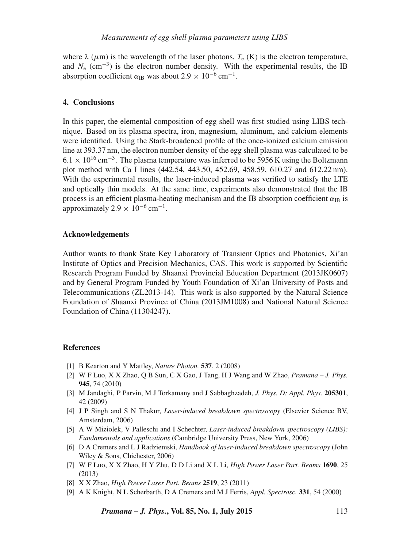where  $\lambda$  ( $\mu$ m) is the wavelength of the laser photons,  $T_e$  (K) is the electron temperature, and  $N_e$  (cm<sup>-3</sup>) is the electron number density. With the experimental results, the IB absorption coefficient  $\alpha_{\text{IB}}$  was about 2.9 × 10<sup>-6</sup> cm<sup>-1</sup>.

## **4. Conclusions**

In this paper, the elemental composition of egg shell was first studied using LIBS technique. Based on its plasma spectra, iron, magnesium, aluminum, and calcium elements were identified. Using the Stark-broadened profile of the once-ionized calcium emission line at 393.37 nm, the electron number density of the egg shell plasma was calculated to be  $6.1 \times 10^{16}$  cm<sup>-3</sup>. The plasma temperature was inferred to be 5956 K using the Boltzmann plot method with Ca I lines (442.54, 443.50, 452.69, 458.59, 610.27 and 612.22 nm). With the experimental results, the laser-induced plasma was verified to satisfy the LTE and optically thin models. At the same time, experiments also demonstrated that the IB process is an efficient plasma-heating mechanism and the IB absorption coefficient  $\alpha_{IB}$  is approximately  $2.9 \times 10^{-6}$  cm<sup>-1</sup>.

#### **Acknowledgements**

Author wants to thank State Key Laboratory of Transient Optics and Photonics, Xi'an Institute of Optics and Precision Mechanics, CAS. This work is supported by Scientific Research Program Funded by Shaanxi Provincial Education Department (2013JK0607) and by General Program Funded by Youth Foundation of Xi'an University of Posts and Telecommunications (ZL2013-14). This work is also supported by the Natural Science Foundation of Shaanxi Province of China (2013JM1008) and National Natural Science Foundation of China (11304247).

#### **References**

- [1] B Kearton and Y Mattley, *Nature Photon.* **537**, 2 (2008)
- [2] W F Luo, X X Zhao, Q B Sun, C X Gao, J Tang, H J Wang and W Zhao, *Pramana J. Phys.* **945**, 74 (2010)
- [3] M Jandaghi, P Parvin, M J Torkamany and J Sabbaghzadeh, *J. Phys. D: Appl. Phys.* **205301**, 42 (2009)
- [4] J P Singh and S N Thakur, *Laser-induced breakdown spectroscopy* (Elsevier Science BV, Amsterdam, 2006)
- [5] A W Miziolek, V Palleschi and I Schechter, *Laser-induced breakdown spectroscopy (LIBS): Fundamentals and applications* (Cambridge University Press, New York, 2006)
- [6] D A Cremers and L J Radziemski, *Handbook of laser-induced breakdown spectroscopy* (John Wiley & Sons, Chichester, 2006)
- [7] W F Luo, X X Zhao, H Y Zhu, D D Li and X L Li, *High Power Laser Part. Beams* **1690**, 25 (2013)
- [8] X X Zhao, *High Power Laser Part. Beams* **2519**, 23 (2011)
- [9] A K Knight, N L Scherbarth, D A Cremers and M J Ferris, *Appl. Spectrosc.* **331**, 54 (2000)